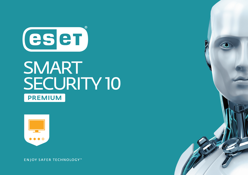

# SMART **SECURITY 10 PREMIUM**



**ENJOY SAFER TECHNOLOGY™**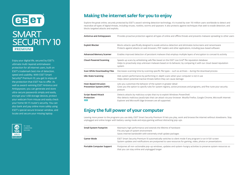

# **SMART SECURITY 10 PREMIUM**

Enjoy your digital life, secured by ESET's ultimate multi-layered antimalware protection for all internet users, built on ESET's trademark best mix of detection, speed and usability. With ESET Smart Security® Premium 10, you get to enjoy all the protection that ESET has to offer. As well as award-winning ESET Antivirus and Antispyware, you can generate and store ultra-secure passwords simply and easily, encrypt your USB storage devices, protect your webcam from misuse and easily check your home Wi-Fi router's security. You can also bank and pay online more safely using ESET's special secure browser window, and locate and secure your missing laptop.



# **Making the internet safer for you to enjoy**

Explore the great online, securely protected by ESET's award-winning detection technology. It's trusted by over 110 million users worldwide to detect and neutralize all types of digital threats, including viruses, rootkits, worms and spyware. It also protects against techniques that seek to evade detection, and blocks targeted attacks and exploits.

| Antivirus and Antispyware                               | Provides proactive protection against all types of online and offline threats and prevents malware spreading to other users                                                                                                                                        |
|---------------------------------------------------------|--------------------------------------------------------------------------------------------------------------------------------------------------------------------------------------------------------------------------------------------------------------------|
| <b>Exploit Blocker</b>                                  | Blocks attacks specifically designed to evade antivirus detection and eliminates lockscreens and ransomware<br>Protects against attacks on web browsers, PDF readers and other applications, including Java-based software                                         |
| <b>Advanced Memory Scanner</b>                          | Enables improved detection of persistent malware that employs multiple layers of encryption to conceal its activity                                                                                                                                                |
| <b>Cloud-Powered Scanning</b>                           | Speeds up scans by whitelisting safe files based on the ESET Live Grid® file reputation database<br>Helps to proactively stop unknown malware based on its behavior, by comparing it with our cloud-based reputation<br>system                                     |
| <b>Scan While Downloading Files</b>                     | Decreases scanning time by scanning specific file types - such as archives - during the download process                                                                                                                                                           |
| <b>Idle-State Scanning</b>                              | Aids system performance by performing in-depth scans when your computer is not in use<br>Helps detect potential inactive threats before they can cause damage                                                                                                      |
| <b>Host-Based Intrusion</b><br>Prevention System (HIPS) | Lets you customize the behavior of the system in greater detail<br>Gives you the option to specify rules for system registry, active processes and programs, and fine-tune your security<br>posture                                                                |
| Script-Based Attack<br>Protection<br><b>NEW</b>         | Detects attacks by malicious scripts that try to exploit Windows PowerShell.<br>Also detects malicious JavaScripts that can attack via your browser. Mozilla Firefox, Google Chrome, Microsoft Internet<br>Explorer and Microsoft Edge browsers are all supported. |

# **Enjoy the full power of your computer**

Leaving more power to the programs you use daily, ESET Smart Security Premium 10 lets you play, work and browse the internet without slowdowns. Stay unplugged and online longer with battery-saving mode and enjoy gaming without distracting pop-ups.

| Small System Footprint    | Maintains high performance and extends the lifetime of hardware<br>Fits any type of system environment<br>Saves internet bandwidth with extremely small update packages                                                  |
|---------------------------|--------------------------------------------------------------------------------------------------------------------------------------------------------------------------------------------------------------------------|
| <b>Gamer Mode</b>         | ESET Smart Security Premium 10 automatically switches to silent mode if any program is run in full-screen<br>System updates and notifications are postponed to save resources for gaming, video, photos or presentations |
| Portable Computer Support | Postpones all non-actionable pop-up windows, updates and system-hungry activities to preserve system resources so<br>that you can stay online and unplugged longer                                                       |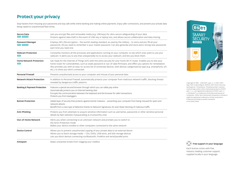### **Protect your privacy**

Stop hackers from misusing your passwords and stay safe while online banking and making online payments. Enjoy safer connections, and prevent your private data being copied to unauthorized flash drives.

| Secure Data<br>NEW PREMIUM                    | Lets you encrypt files and removable media (e.g. USB keys) for ultra-secure safeguarding of your data.<br>Protects against data theft in the event of USB-key or laptop loss, and allows secure collaboration and data sharing.                                                                                                                                                                                           |
|-----------------------------------------------|---------------------------------------------------------------------------------------------------------------------------------------------------------------------------------------------------------------------------------------------------------------------------------------------------------------------------------------------------------------------------------------------------------------------------|
| <b>Password Manager</b><br><b>NEW PREMIUM</b> | Employs AES-256 encryption - the world's leading standard, as used by the military - to store and pre-fill all your<br>passwords. All you need to remember is your master password. Can also generate and store extra-strong new passwords<br>each time you need one.                                                                                                                                                     |
| <b>Webcam Protection</b><br><b>NEW</b>        | Constantly monitors all the processes and applications running on your computer, to see which ones want to use your<br>webcam. It alerts you to any that unexpectedly try to access your webcam, and lets you block them.                                                                                                                                                                                                 |
| <b>Home Network Protection</b><br><b>NEW</b>  | Get ready for the Internet of Things (IoT) with this extra security for your home Wi-Fi router. Enables you to test your<br>home router for vulnerabilities, such as weak password or out-of-date firmware, and offers you options for remediation.<br>Also provides you with an easy-to-access list of connected devices, with devices categorized by type (e.g. smartphone, IoT,<br>etc.), to show you who's connected. |
| <b>Personal Firewall</b>                      | Prevents unauthorized access to your computer and misuse of your personal data                                                                                                                                                                                                                                                                                                                                            |
| <b>Network Attack Protection</b>              | In addition to Personal Firewall, automatically protects your computer from malicious network traffic, blocking threats<br>revealed by dangerous traffic patterns                                                                                                                                                                                                                                                         |
| <b>Banking &amp; Payment Protection</b>       | Features a special secured browser through which you can safely pay online<br>Automatically protects you on internet banking sites<br>Encrypts the communication between the keyboard and the browser for safer transactions<br>Protects you from keyloggers                                                                                                                                                              |
| <b>Botnet Protection</b>                      | Added layer of security that protects against botnet malware – preventing your computer from being misused for spam and<br>network attacks<br>Benefit from a new type of detection thanks to Network Signatures, for even faster blocking of malicious traffic                                                                                                                                                            |
| Anti-Phishing                                 | Protects you from attempts to acquire sensitive information such as usernames, passwords or other sensitive personal<br>details by fake websites masquerading as trustworthy ones                                                                                                                                                                                                                                         |
| <b>Out-of-Home Network</b>                    | Alerts you when connecting to an unknown network and prompts you to switch to<br>the Strict Protection mode<br>Makes your device invisible to other computers connected to the same network                                                                                                                                                                                                                               |
| <b>Device Control</b>                         | Allows you to prevent unauthorized copying of your private data to an external device<br>Allows you to block storage media - CDs, DVDs, USB sticks, and disk storage devices<br>Lets you block devices connecting via Bluetooth, FireWire and serial/parallel ports                                                                                                                                                       |
| Antispam                                      | Keeps unwanted emails from clogging your mailbox                                                                                                                                                                                                                                                                                                                                                                          |



Copyright © 1992 – 2016 ESET, spol. s r. o. ESET, ESET logo, ESET android figure, NOD32, ESET Smart Security, SysInspector, ThreatSense, ThreatSense.Net, LiveGrid, LiveGrid logo and/or other mentioned products of ESET, spol. s r. o., are registered trademarks of ESET, spol. s r. o. Windows® is a trademark of the Microsoft group of companies. Other here mentioned companies or products might be registered trademarks of their proprietors. Produced according to quality standards of ISO 9001:2008.



Each license comes with free, industry-leading customer support, supplied locally in your language.